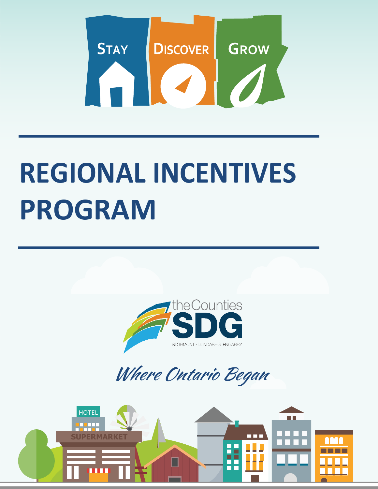# **STAY DISCOVER GROW**

# **REGIONAL INCENTIVES PROGRAM**





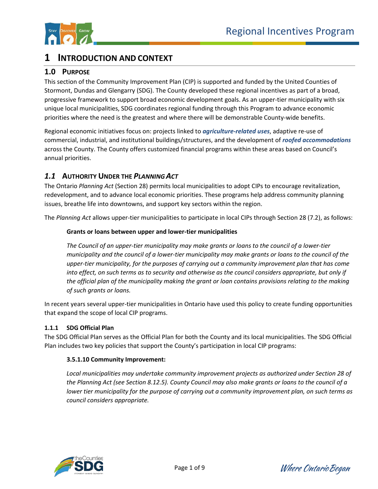

### **1 INTRODUCTION AND CONTEXT**

#### **1.0 PURPOSE**

This section of the Community Improvement Plan (CIP) is supported and funded by the United Counties of Stormont, Dundas and Glengarry (SDG). The County developed these regional incentives as part of a broad, progressive framework to support broad economic development goals. As an upper-tier municipality with six unique local municipalities, SDG coordinates regional funding through this Program to advance economic priorities where the need is the greatest and where there will be demonstrable County-wide benefits.

Regional economic initiatives focus on: projects linked to *agriculture-related uses*, adaptive re-use of commercial, industrial, and institutional buildings/structures, and the development of *roofed accommodations*  across the County. The County offers customized financial programs within these areas based on Council's annual priorities.

#### *1.1* **AUTHORITY UNDER THE** *PLANNINGACT*

The Ontario *Planning Act* (Section 28) permits local municipalities to adopt CIPs to encourage revitalization, redevelopment, and to advance local economic priorities. These programs help address community planning issues, breathe life into downtowns, and support key sectors within the region.

The *Planning Act* allows upper-tier municipalities to participate in local CIPs through Section 28 (7.2), as follows:

#### **Grants or loans between upper and lower-tier municipalities**

*The Council of an upper-tier municipality may make grants or loans to the council of a lower-tier municipality and the council of a lower-tier municipality may make grants or loans to the council of the upper-tier municipality, for the purposes of carrying out a community improvement plan that has come into effect, on such terms as to security and otherwise as the council considers appropriate, but only if the official plan of the municipality making the grant or loan contains provisions relating to the making of such grants or loans.*

In recent years several upper-tier municipalities in Ontario have used this policy to create funding opportunities that expand the scope of local CIP programs.

#### **1.1.1 SDG Official Plan**

The SDG Official Plan serves as the Official Plan for both the County and its local municipalities. The SDG Official Plan includes two key policies that support the County's participation in local CIP programs:

#### **3.5.1.10 Community Improvement:**

*Local municipalities may undertake community improvement projects as authorized under Section 28 of the Planning Act (see Section 8.12.5). County Council may also make grants or loans to the council of a lower tier municipality for the purpose of carrying out a community improvement plan, on such terms as council considers appropriate.*



Page 1 of 9 Where Ontario Began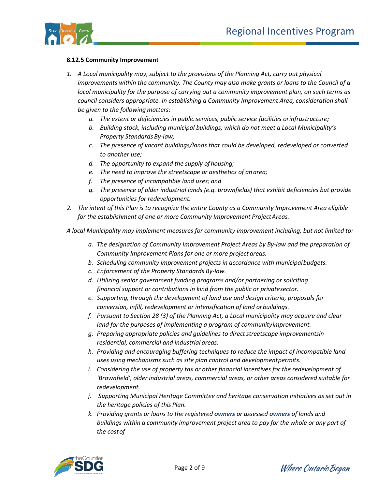

#### **8.12.5 Community Improvement**

- *1. A Local municipality may, subject to the provisions of the Planning Act, carry out physical improvements within the community. The County may also make grants or loans to the Council of a local municipality for the purpose of carrying out a community improvement plan, on such terms as council considers appropriate. In establishing a Community Improvement Area, consideration shall be given to the following matters:*
	- *a. The extent or deficiencies in public services, public service facilities orinfrastructure;*
	- *b. Building stock, including municipal buildings, which do not meet a Local Municipality's Property Standards By-law;*
	- *c. The presence of vacant buildings/lands that could be developed, redeveloped or converted to another use;*
	- *d. The opportunity to expand the supply of housing;*
	- *e. The need to improve the streetscape or aesthetics of an area;*
	- *f. The presence of incompatible land uses; and*
	- *g. The presence of older industrial lands (e.g. brownfields) that exhibit deficiencies but provide opportunities for redevelopment.*
- *2. The intent of this Plan is to recognize the entire County as a Community Improvement Area eligible for the establishment of one or more Community Improvement ProjectAreas.*

*A local Municipality may implement measures for community improvement including, but not limited to:*

- *a. The designation of Community Improvement Project Areas by By-law and the preparation of Community Improvement Plans for one or more project areas.*
- *b. Scheduling community improvement projects in accordance with municipalbudgets.*
- *c. Enforcement of the Property Standards By-law.*
- *d. Utilizing senior government funding programs and/or partnering or soliciting financial support or contributions in kind from the public or privatesector.*
- *e. Supporting, through the development of land use and design criteria, proposals for conversion, infill, redevelopment or intensification of land orbuildings.*
- *f. Pursuant to Section 28 (3) of the Planning Act, a Local municipality may acquire and clear land for the purposes of implementing a program of communityimprovement.*
- *g. Preparing appropriate policies and guidelines to directstreetscape improvementsin residential, commercial and industrial areas.*
- *h. Providing and encouraging buffering techniques to reduce the impact of incompatible land uses using mechanisms such as site plan control and developmentpermits.*
- *i. Considering the use of property tax or other financial incentives for the redevelopment of 'Brownfield', older industrial areas, commercial areas, or other areas considered suitable for redevelopment.*
- *j. Supporting Municipal Heritage Committee and heritage conservation initiatives as set out in the heritage policies of this Plan.*
- *k. Providing grants or loans to the registered owners or assessed owners of lands and buildings within a community improvement project area to pay for the whole or any part of the costof*

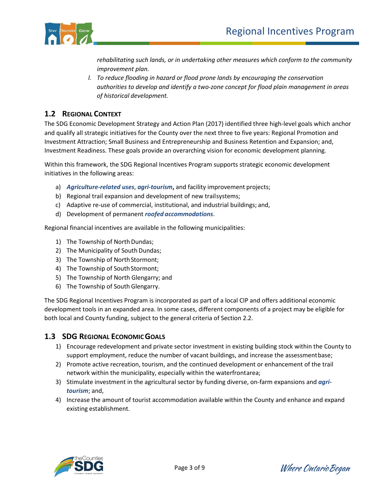

*rehabilitating such lands, or in undertaking other measures which conform to the community improvement plan.*

*l.* To reduce flooding in hazard or flood prone lands by encouraging the conservation *authorities to develop and identify a two-zone concept for flood plain management in areas of historical development.*

#### **1.2 REGIONAL CONTEXT**

The SDG Economic Development Strategy and Action Plan (2017) identified three high-level goals which anchor and qualify all strategic initiatives for the County over the next three to five years: Regional Promotion and Investment Attraction; Small Business and Entrepreneurship and Business Retention and Expansion; and, Investment Readiness. These goals provide an overarching vision for economic development planning.

Within this framework, the SDG Regional Incentives Program supports strategic economic development initiatives in the following areas:

- a) *Agriculture-related uses*, *agri-tourism***,** and facility improvement projects;
- b) Regional trail expansion and development of new trailsystems;
- c) Adaptive re-use of commercial, institutional, and industrial buildings; and,
- d) Development of permanent *roofed accommodations*.

Regional financial incentives are available in the following municipalities:

- 1) The Township of North Dundas;
- 2) The Municipality of South Dundas;
- 3) The Township of North Stormont;
- 4) The Township of South Stormont;
- 5) The Township of North Glengarry; and
- 6) The Township of South Glengarry.

The SDG Regional Incentives Program is incorporated as part of a local CIP and offers additional economic development tools in an expanded area. In some cases, different components of a project may be eligible for both local and County funding, subject to the general criteria of Section 2.2.

#### **1.3 SDG REGIONAL ECONOMICGOALS**

- 1) Encourage redevelopment and private sector investment in existing building stock within the County to support employment, reduce the number of vacant buildings, and increase the assessmentbase;
- 2) Promote active recreation, tourism, and the continued development or enhancement of the trail network within the municipality, especially within the waterfrontarea;
- 3) Stimulate investment in the agricultural sector by funding diverse, on-farm expansions and *agritourism*; and,
- 4) Increase the amount of tourist accommodation available within the County and enhance and expand existing establishment.

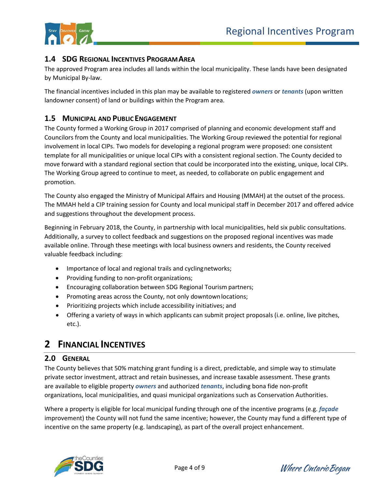

#### **1.4 SDG REGIONAL INCENTIVES PROGRAMAREA**

The approved Program area includes all lands within the local municipality. These lands have been designated by Municipal By-law.

The financial incentives included in this plan may be available to registered *owners* or *tenants* (upon written landowner consent) of land or buildings within the Program area.

#### **1.5 MUNICIPAL AND PUBLIC ENGAGEMENT**

The County formed a Working Group in 2017 comprised of planning and economic development staff and Councilors from the County and local municipalities. The Working Group reviewed the potential for regional involvement in local CIPs. Two models for developing a regional program were proposed: one consistent template for all municipalities or unique local CIPs with a consistent regional section. The County decided to move forward with a standard regional section that could be incorporated into the existing, unique, local CIPs. The Working Group agreed to continue to meet, as needed, to collaborate on public engagement and promotion.

The County also engaged the Ministry of Municipal Affairs and Housing (MMAH) at the outset of the process. The MMAH held a CIP training session for County and local municipal staff in December 2017 and offered advice and suggestions throughout the development process.

Beginning in February 2018, the County, in partnership with local municipalities, held six public consultations. Additionally, a survey to collect feedback and suggestions on the proposed regional incentives was made available online. Through these meetings with local business owners and residents, the County received valuable feedback including:

- Importance of local and regional trails and cyclingnetworks;
- Providing funding to non-profit organizations;
- Encouraging collaboration between SDG Regional Tourism partners;
- Promoting areas across the County, not only downtownlocations;
- Prioritizing projects which include accessibility initiatives; and
- Offering a variety of ways in which applicants can submit project proposals (i.e. online, live pitches, etc.).

# **2 FINANCIAL INCENTIVES**

#### **2.0 GENERAL**

The County believes that 50% matching grant funding is a direct, predictable, and simple way to stimulate private sector investment, attract and retain businesses, and increase taxable assessment. These grants are available to eligible property *owners* and authorized *tenants*, including bona fide non-profit organizations, local municipalities, and quasi municipal organizations such as Conservation Authorities.

Where a property is eligible for local municipal funding through one of the incentive programs (e.g. *façade*  improvement) the County will not fund the same incentive; however, the County may fund a different type of incentive on the same property (e.g. landscaping), as part of the overall project enhancement.



Page 4 of 9 Where Ontario Began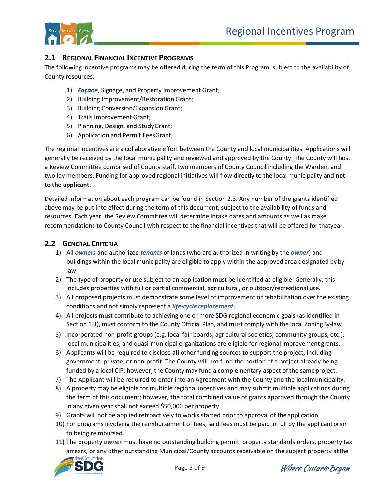

#### **2.1 REGIONAL FINANCIAL INCENTIVE PROGRAMS**

The following incentive programs may be offered during the term of this Program, subject to the availability of County resources:

- 1) *Façade*, Signage, and Property Improvement Grant;
- 2) Building Improvement/Restoration Grant;
- 3) Building Conversion/Expansion Grant;
- 4) Trails Improvement Grant;
- 5) Planning, Design, and StudyGrant;
- 6) Application and Permit FeesGrant;

The regional incentives are a collaborative effort between the County and local municipalities. Applications will generally be received by the local municipality and reviewed and approved by the County. The County will host a Review Committee comprised of County staff, two members of County Council including the Warden, and two lay members. Funding for approved regional initiatives will flow directly to the local municipality and **not to the applicant**.

Detailed information about each program can be found in Section 2.3. Any number of the grants identified above may be put into effect during the term of this document, subject to the availability of funds and resources. Each year, the Review Committee will determine intake dates and amounts as well as make recommendations to County Council with respect to the financial incentives that will be offered for thatyear.

#### **2.2 GENERAL CRITERIA**

- 1) All *owners* and authorized *tenants* of lands (who are authorized in writing by the *owner*) and buildings within the local municipality are eligible to apply within the approved area designated by bylaw.
- 2) The type of property or use subject to an application must be identified as eligible. Generally, this includes properties with full or partial commercial, agricultural, or outdoor/recreational use.
- 3) All proposed projects must demonstrate some level of improvement or rehabilitation over the existing conditions and not simply represent a *life-cycle replacement*.
- 4) All projects must contribute to achieving one or more SDG regional economic goals (as identified in Section 1.3), must conform to the County Official Plan, and must comply with the local ZoningBy-law.
- 5) Incorporated non-profit groups (e.g. local fair boards, agricultural societies, community groups, etc.), local municipalities, and quasi-municipal organizations are eligible for regional improvement grants.
- 6) Applicants will be required to disclose **all** other funding sources to support the project, including government, private, or non-profit. The County will not fund the portion of a project already being funded by a local CIP; however, the County may fund a complementary aspect of the same project.
- 7) The Applicant will be required to enter into an Agreement with the County and the localmunicipality.
- 8) A property may be eligible for multiple regional incentives and may submit multiple applications during the term of this document; however, the total combined value of grants approved through the County in any given year shall not exceed \$50,000 per property.
- 9) Grants will not be applied retroactively to works started prior to approval of the application.
- 10) For programs involving the reimbursement of fees, said fees must be paid in full by the applicantprior to being reimbursed.
- 11) The property *owner* must have no outstanding building permit, property standards orders, property tax arrears, or any other outstanding Municipal/County accounts receivable on the subject property at the *d*<br>The Counties



Page 5 of 9 Where Ontario Began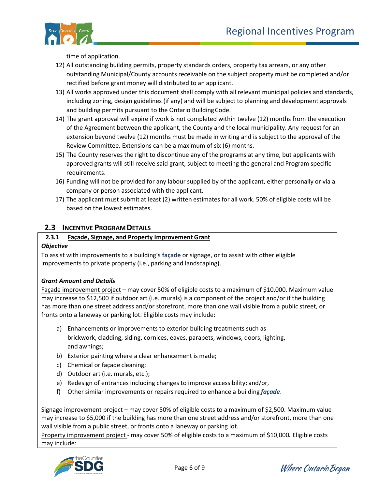

time of application.

- 12) All outstanding building permits, property standards orders, property tax arrears, or any other outstanding Municipal/County accounts receivable on the subject property must be completed and/or rectified before grant money will distributed to an applicant.
- 13) All works approved under this document shall comply with all relevant municipal policies and standards, including zoning, design guidelines (if any) and will be subject to planning and development approvals and building permits pursuant to the Ontario Building Code.
- 14) The grant approval will expire if work is not completed within twelve (12) months from the execution of the Agreement between the applicant, the County and the local municipality. Any request for an extension beyond twelve (12) months must be made in writing and is subject to the approval of the Review Committee. Extensions can be a maximum of six (6) months.
- 15) The County reserves the right to discontinue any of the programs at any time, but applicants with approved grants will still receive said grant, subject to meeting the general and Program specific requirements.
- 16) Funding will not be provided for any labour supplied by of the applicant, either personally or via a company or person associated with the applicant.
- 17) The applicant must submit at least (2) written estimates for all work. 50% of eligible costs will be based on the lowest estimates.

#### **2.3 INCENTIVE PROGRAMDETAILS**

#### **2.3.1 Façade, Signage, and Property Improvement Grant**

#### *Objective*

To assist with improvements to a building's **façade** or signage, or to assist with other eligible improvements to private property (i.e., parking and landscaping).

#### *Grant Amount and Details*

Façade improvement project – may cover 50% of eligible costs to a maximum of \$10,000. Maximum value may increase to \$12,500 if outdoor art (i.e. murals) is a component of the project and/or if the building has more than one street address and/or storefront, more than one wall visible from a public street, or fronts onto a laneway or parking lot. Eligible costs may include:

- a) Enhancements or improvements to exterior building treatments such as brickwork, cladding, siding, cornices, eaves, parapets, windows, doors, lighting, and awnings;
- b) Exterior painting where a clear enhancement is made;
- c) Chemical or façade cleaning;
- d) Outdoor art (i.e. murals, etc.);
- e) Redesign of entrances including changes to improve accessibility; and/or,
- f) Other similar improvements or repairs required to enhance a building *façade*.

Signage improvement project – may cover 50% of eligible costs to a maximum of \$2,500. Maximum value may increase to \$5,000 if the building has more than one street address and/or storefront, more than one wall visible from a public street, or fronts onto a laneway or parking lot.

Property improvement project - may cover 50% of eligible costs to a maximum of \$10,000*.* Eligible costs may include:



Page 6 of 9 Where Ontario Began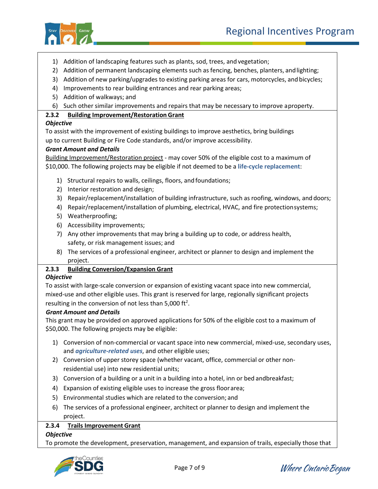

- 1) Addition of landscaping features such as plants, sod, trees, and vegetation;
- 2) Addition of permanent landscaping elements such as fencing, benches, planters, andlighting;
- 3) Addition of new parking/upgrades to existing parking areas for cars, motorcycles, and bicycles;
- 4) Improvements to rear building entrances and rear parking areas;
- 5) Addition of walkways; and
- 6) Such other similar improvements and repairs that may be necessary to improve aproperty.

#### **2.3.2 Building Improvement/Restoration Grant**

#### *Objective*

To assist with the improvement of existing buildings to improve aesthetics, bring buildings up to current Building or Fire Code standards, and/or improve accessibility.

#### *Grant Amount and Details*

Building Improvement/Restoration project - may cover 50% of the eligible cost to a maximum of \$10,000. The following projects may be eligible if not deemed to be a **life-cycle replacement**:

- 1) Structural repairs to walls, ceilings, floors, and foundations;
- 2) Interior restoration and design;
- 3) Repair/replacement/installation of building infrastructure, such as roofing, windows, and doors;
- 4) Repair/replacement/installation of plumbing, electrical, HVAC, and fire protectionsystems;
- 5) Weatherproofing;
- 6) Accessibility improvements;
- 7) Any other improvements that may bring a building up to code, or address health, safety, or risk management issues; and
- 8) The services of a professional engineer, architect or planner to design and implement the project.

#### **2.3.3 Building Conversion/Expansion Grant**

#### *Objective*

To assist with large-scale conversion or expansion of existing vacant space into new commercial, mixed-use and other eligible uses. This grant is reserved for large, regionally significant projects resulting in the conversion of not less than 5,000 ft<sup>2</sup>.

#### *Grant Amount and Details*

This grant may be provided on approved applications for 50% of the eligible cost to a maximum of \$50,000. The following projects may be eligible:

- 1) Conversion of non-commercial or vacant space into new commercial, mixed-use, secondary uses, and *agriculture-related uses*, and other eligible uses;
- 2) Conversion of upper storey space (whether vacant, office, commercial or other nonresidential use) into new residential units;
- 3) Conversion of a building or a unit in a building into a hotel, inn or bed andbreakfast;
- 4) Expansion of existing eligible uses to increase the gross floorarea;
- 5) Environmental studies which are related to the conversion; and
- 6) The services of a professional engineer, architect or planner to design and implement the project.

#### **2.3.4 Trails Improvement Grant**

#### *Objective*

To promote the development, preservation, management, and expansion of trails, especially those that

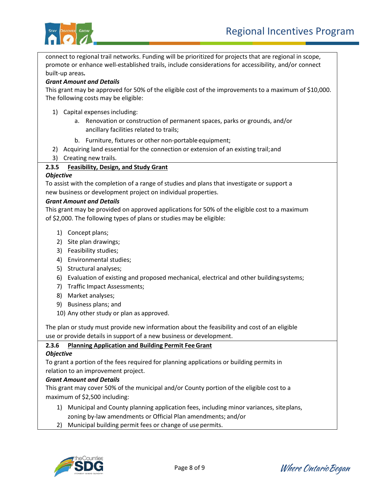

connect to regional trail networks. Funding will be prioritized for projects that are regional in scope, promote or enhance well-established trails, include considerations for accessibility, and/or connect built-up areas*.*

#### *Grant Amount and Details*

This grant may be approved for 50% of the eligible cost of the improvements to a maximum of \$10,000. The following costs may be eligible:

- 1) Capital expenses including:
	- a. Renovation or construction of permanent spaces, parks or grounds, and/or ancillary facilities related to trails;
	- b. Furniture, fixtures or other non-portable equipment;
- 2) Acquiring land essential for the connection or extension of an existing trail;and
- 3) Creating new trails.

#### **2.3.5 Feasibility, Design, and Study Grant**

#### *Objective*

To assist with the completion of a range of studies and plans that investigate or support a new business or development project on individual properties.

#### *Grant Amount and Details*

This grant may be provided on approved applications for 50% of the eligible cost to a maximum of \$2,000. The following types of plans or studies may be eligible:

- 1) Concept plans;
- 2) Site plan drawings;
- 3) Feasibility studies;
- 4) Environmental studies;
- 5) Structural analyses;
- 6) Evaluation of existing and proposed mechanical, electrical and other buildingsystems;
- 7) Traffic Impact Assessments;
- 8) Market analyses;
- 9) Business plans; and
- 10) Any other study or plan as approved.

The plan or study must provide new information about the feasibility and cost of an eligible use or provide details in support of a new business or development.

#### **2.3.6 Planning Application and Building Permit FeeGrant**

#### *Objective*

To grant a portion of the fees required for planning applications or building permits in relation to an improvement project.

#### *Grant Amount and Details*

This grant may cover 50% of the municipal and/or County portion of the eligible cost to a maximum of \$2,500 including:

- 1) Municipal and County planning application fees, including minor variances, siteplans, zoning by-law amendments or Official Plan amendments; and/or
- 2) Municipal building permit fees or change of use permits.